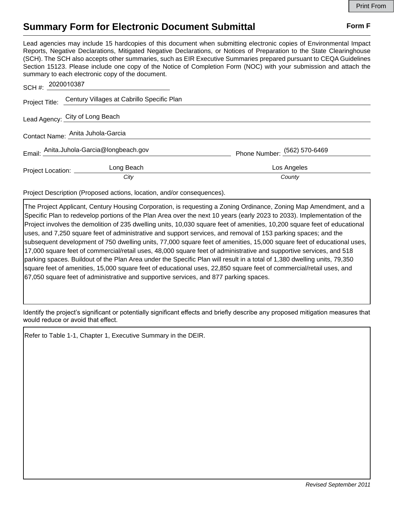## **Summary Form for Electronic Document Submittal Form F Form F**

Lead agencies may include 15 hardcopies of this document when submitting electronic copies of Environmental Impact Reports, Negative Declarations, Mitigated Negative Declarations, or Notices of Preparation to the State Clearinghouse (SCH). The SCH also accepts other summaries, such as EIR Executive Summaries prepared pursuant to CEQA Guidelines Section 15123. Please include one copy of the Notice of Completion Form (NOC) with your submission and attach the summary to each electronic copy of the document.

| SCH #: 2020010387                 |                                                           |                              |
|-----------------------------------|-----------------------------------------------------------|------------------------------|
|                                   | Project Title: Century Villages at Cabrillo Specific Plan |                              |
|                                   | Lead Agency: City of Long Beach                           |                              |
| Contact Name: Anita Juhola-Garcia |                                                           |                              |
|                                   | Email: Anita.Juhola-Garcia@longbeach.gov                  | Phone Number: (562) 570-6469 |
| Project Location: _______         | Long Beach                                                | Los Angeles                  |
|                                   | City                                                      | County                       |

Project Description (Proposed actions, location, and/or consequences).

The Project Applicant, Century Housing Corporation, is requesting a Zoning Ordinance, Zoning Map Amendment, and a Specific Plan to redevelop portions of the Plan Area over the next 10 years (early 2023 to 2033). Implementation of the Project involves the demolition of 235 dwelling units, 10,030 square feet of amenities, 10,200 square feet of educational uses, and 7,250 square feet of administrative and support services, and removal of 153 parking spaces; and the subsequent development of 750 dwelling units, 77,000 square feet of amenities, 15,000 square feet of educational uses, 17,000 square feet of commercial/retail uses, 48,000 square feet of administrative and supportive services, and 518 parking spaces. Buildout of the Plan Area under the Specific Plan will result in a total of 1,380 dwelling units, 79,350 square feet of amenities, 15,000 square feet of educational uses, 22,850 square feet of commercial/retail uses, and 67,050 square feet of administrative and supportive services, and 877 parking spaces.

Identify the project's significant or potentially significant effects and briefly describe any proposed mitigation measures that would reduce or avoid that effect.

Refer to Table 1-1, Chapter 1, Executive Summary in the DEIR.